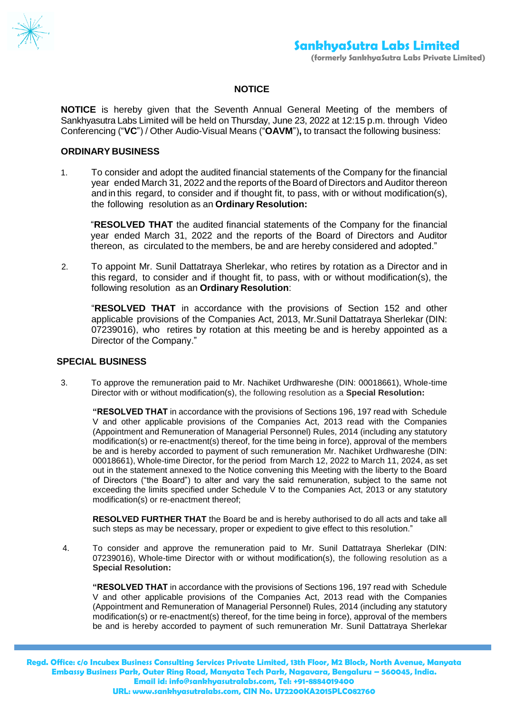

## **NOTICE**

**NOTICE** is hereby given that the Seventh Annual General Meeting of the members of Sankhyasutra Labs Limited will be held on Thursday, June 23, 2022 at 12:15 p.m. through Video Conferencing ("**VC**") / Other Audio-Visual Means ("**OAVM**")**,** to transact the following business:

## **ORDINARY BUSINESS**

1. To consider and adopt the audited financial statements of the Company for the financial year ended March 31, 2022 and the reports of theBoard of Directors and Auditor thereon and in this regard, to consider and if thought fit, to pass, with or without modification(s), the following resolution as an **Ordinary Resolution:**

"**RESOLVED THAT** the audited financial statements of the Company for the financial year ended March 31, 2022 and the reports of the Board of Directors and Auditor thereon, as circulated to the members, be and are hereby considered and adopted."

2. To appoint Mr. Sunil Dattatraya Sherlekar, who retires by rotation as a Director and in this regard, to consider and if thought fit, to pass, with or without modification(s), the following resolution as an **Ordinary Resolution**:

"**RESOLVED THAT** in accordance with the provisions of Section 152 and other applicable provisions of the Companies Act, 2013, Mr.Sunil Dattatraya Sherlekar (DIN: 07239016), who retires by rotation at this meeting be and is hereby appointed as a Director of the Company."

## **SPECIAL BUSINESS**

3. To approve the remuneration paid to Mr. Nachiket Urdhwareshe (DIN: 00018661), Whole-time Director with or without modification(s), the following resolution as a **Special Resolution:**

**"RESOLVED THAT** in accordance with the provisions of Sections 196, 197 read with Schedule V and other applicable provisions of the Companies Act, 2013 read with the Companies (Appointment and Remuneration of Managerial Personnel) Rules, 2014 (including any statutory modification(s) or re-enactment(s) thereof, for the time being in force), approval of the members be and is hereby accorded to payment of such remuneration Mr. Nachiket Urdhwareshe (DIN: 00018661), Whole-time Director, for the period from March 12, 2022 to March 11, 2024, as set out in the statement annexed to the Notice convening this Meeting with the liberty to the Board of Directors ("the Board") to alter and vary the said remuneration, subject to the same not exceeding the limits specified under Schedule V to the Companies Act, 2013 or any statutory modification(s) or re-enactment thereof;

**RESOLVED FURTHER THAT** the Board be and is hereby authorised to do all acts and take all such steps as may be necessary, proper or expedient to give effect to this resolution."

4. To consider and approve the remuneration paid to Mr. Sunil Dattatraya Sherlekar (DIN: 07239016), Whole-time Director with or without modification(s), the following resolution as a **Special Resolution:**

**"RESOLVED THAT** in accordance with the provisions of Sections 196, 197 read with Schedule V and other applicable provisions of the Companies Act, 2013 read with the Companies (Appointment and Remuneration of Managerial Personnel) Rules, 2014 (including any statutory modification(s) or re-enactment(s) thereof, for the time being in force), approval of the members be and is hereby accorded to payment of such remuneration Mr. Sunil Dattatraya Sherlekar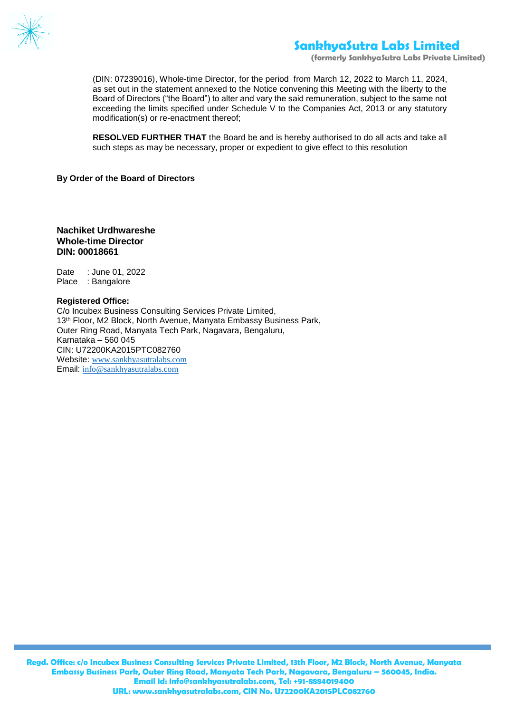

**(formerly SankhyaSutra Labs Private Limited)**

(DIN: 07239016), Whole-time Director, for the period from March 12, 2022 to March 11, 2024, as set out in the statement annexed to the Notice convening this Meeting with the liberty to the Board of Directors ("the Board") to alter and vary the said remuneration, subject to the same not exceeding the limits specified under Schedule V to the Companies Act, 2013 or any statutory modification(s) or re-enactment thereof;

**RESOLVED FURTHER THAT** the Board be and is hereby authorised to do all acts and take all such steps as may be necessary, proper or expedient to give effect to this resolution

#### **By Order of the Board of Directors**

## **Nachiket Urdhwareshe Whole-time Director DIN: 00018661**

Date : June 01, 2022 Place : Bangalore

#### **Registered Office:**

C/o Incubex Business Consulting Services Private Limited, 13<sup>th</sup> Floor, M2 Block, North Avenue, Manyata Embassy Business Park, Outer Ring Road, Manyata Tech Park, Nagavara, Bengaluru, Karnataka – 560 045 CIN: U72200KA2015PTC082760 Website: [www.sankhyasutralabs.com](http://www.sankhyasutralabs.com/) Email: [info@sankhyasutralabs.com](mailto:info@sankhyasutralabs.com)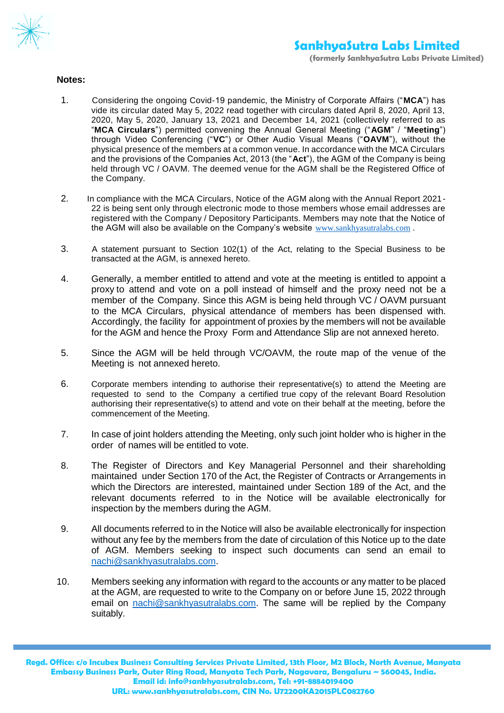

## **Notes:**

- 1. Considering the ongoing Covid-19 pandemic, the Ministry of Corporate Affairs ("**MCA**") has vide its circular dated May 5, 2022 read together with circulars dated April 8, 2020, April 13, 2020, May 5, 2020, January 13, 2021 and December 14, 2021 (collectively referred to as "**MCA Circulars**") permitted convening the Annual General Meeting ("**AGM**" / "**Meeting**") through Video Conferencing ("**VC**") or Other Audio Visual Means ("**OAVM**"), without the physical presence of the members at a common venue. In accordance with the MCA Circulars and the provisions of the Companies Act, 2013 (the "**Act**"), the AGM of the Company is being held through VC / OAVM. The deemed venue for the AGM shall be the Registered Office of the Company.
- 2. In compliance with the MCA Circulars, Notice of the AGM along with the Annual Report 2021- 22 is being sent only through electronic mode to those members whose email addresses are registered with the Company / Depository Participants. Members may note that the Notice of the AGM will also be available on the Company's website [www.sankhyasutralabs.com](http://www.sankhyasutralabs.com/) .
- 3. A statement pursuant to Section 102(1) of the Act, relating to the Special Business to be transacted at the AGM, is annexed hereto.
- 4. Generally, a member entitled to attend and vote at the meeting is entitled to appoint a proxy to attend and vote on a poll instead of himself and the proxy need not be a member of the Company. Since this AGM is being held through VC / OAVM pursuant to the MCA Circulars, physical attendance of members has been dispensed with. Accordingly, the facility for appointment of proxies by the members will not be available for the AGM and hence the Proxy Form and Attendance Slip are not annexed hereto.
- 5. Since the AGM will be held through VC/OAVM, the route map of the venue of the Meeting is not annexed hereto.
- 6. Corporate members intending to authorise their representative(s) to attend the Meeting are requested to send to the Company a certified true copy of the relevant Board Resolution authorising their representative(s) to attend and vote on their behalf at the meeting, before the commencement of the Meeting.
- 7. In case of joint holders attending the Meeting, only such joint holder who is higher in the order of names will be entitled to vote.
- 8. The Register of Directors and Key Managerial Personnel and their shareholding maintained under Section 170 of the Act, the Register of Contracts or Arrangements in which the Directors are interested, maintained under Section 189 of the Act, and the relevant documents referred to in the Notice will be available electronically for inspection by the members during the AGM.
- 9. All documents referred to in the Notice will also be available electronically for inspection without any fee by the members from the date of circulation of this Notice up to the date of AGM. Members seeking to inspect such documents can send an email to [nachi@sankhyasutralabs.com.](mailto:nachi@sankhyasutralabs.com)
- 10. Members seeking any information with regard to the accounts or any matter to be placed at the AGM, are requested to write to the Company on or before June 15, 2022 through email on [nachi@sankhyasutralabs.com.](mailto:nachi@sankhyasutralabs.com) The same will be replied by the Company suitably.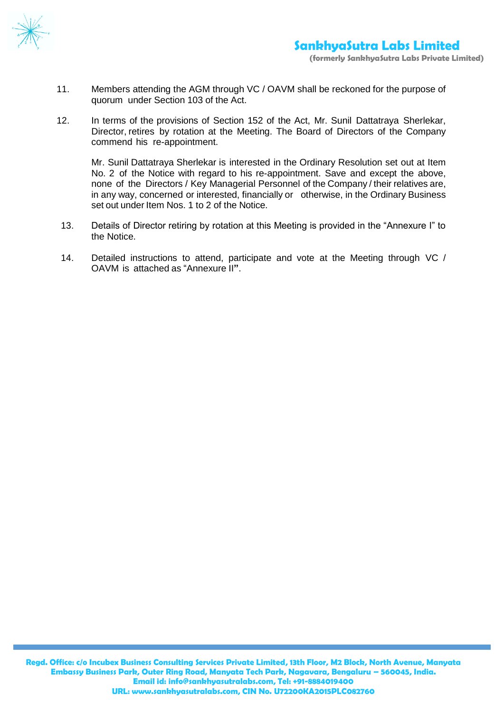

- 11. Members attending the AGM through VC / OAVM shall be reckoned for the purpose of quorum under Section 103 of the Act.
- 12. In terms of the provisions of Section 152 of the Act, Mr. Sunil Dattatraya Sherlekar, Director, retires by rotation at the Meeting. The Board of Directors of the Company commend his re-appointment.

Mr. Sunil Dattatraya Sherlekar is interested in the Ordinary Resolution set out at Item No. 2 of the Notice with regard to his re-appointment. Save and except the above, none of the Directors / Key Managerial Personnel of the Company / their relatives are, in any way, concerned or interested, financially or otherwise, in the Ordinary Business set out under Item Nos. 1 to 2 of the Notice.

- 13. Details of Director retiring by rotation at this Meeting is provided in the "Annexure I" to the Notice.
- 14. Detailed instructions to attend, participate and vote at the Meeting through VC / OAVM is attached as "Annexure II**"**.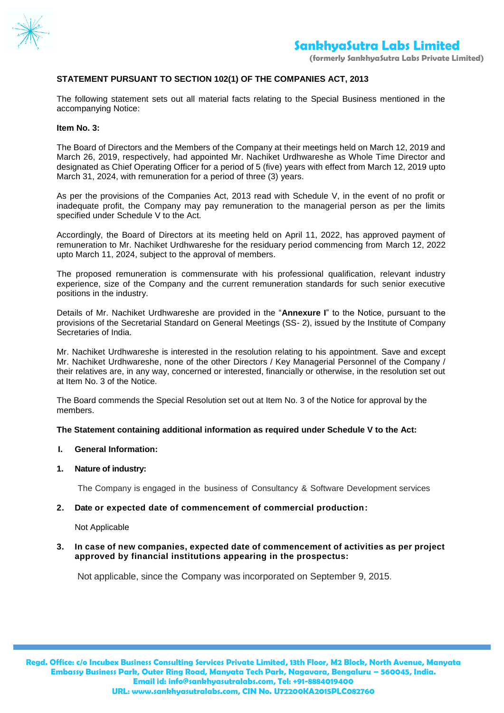

## **STATEMENT PURSUANT TO SECTION 102(1) OF THE COMPANIES ACT, 2013**

The following statement sets out all material facts relating to the Special Business mentioned in the accompanying Notice:

#### **Item No. 3:**

The Board of Directors and the Members of the Company at their meetings held on March 12, 2019 and March 26, 2019, respectively, had appointed Mr. Nachiket Urdhwareshe as Whole Time Director and designated as Chief Operating Officer for a period of 5 (five) years with effect from March 12, 2019 upto March 31, 2024, with remuneration for a period of three (3) years.

As per the provisions of the Companies Act, 2013 read with Schedule V, in the event of no profit or inadequate profit, the Company may pay remuneration to the managerial person as per the limits specified under Schedule V to the Act.

Accordingly, the Board of Directors at its meeting held on April 11, 2022, has approved payment of remuneration to Mr. Nachiket Urdhwareshe for the residuary period commencing from March 12, 2022 upto March 11, 2024, subject to the approval of members.

The proposed remuneration is commensurate with his professional qualification, relevant industry experience, size of the Company and the current remuneration standards for such senior executive positions in the industry.

Details of Mr. Nachiket Urdhwareshe are provided in the "**Annexure I**" to the Notice, pursuant to the provisions of the Secretarial Standard on General Meetings (SS- 2), issued by the Institute of Company Secretaries of India.

Mr. Nachiket Urdhwareshe is interested in the resolution relating to his appointment. Save and except Mr. Nachiket Urdhwareshe, none of the other Directors / Key Managerial Personnel of the Company / their relatives are, in any way, concerned or interested, financially or otherwise, in the resolution set out at Item No. 3 of the Notice.

The Board commends the Special Resolution set out at Item No. 3 of the Notice for approval by the members.

#### **The Statement containing additional information as required under Schedule V to the Act:**

#### **I. General Information:**

## **1. Nature of industry:**

The Company is engaged in the business of Consultancy & Software Development services

#### **2. Date or expected date of commencement of commercial production:**

Not Applicable

#### **3. In case of new companies, expected date of commencement of activities as per project approved by financial institutions appearing in the prospectus:**

Not applicable, since the Company was incorporated on September 9, 2015.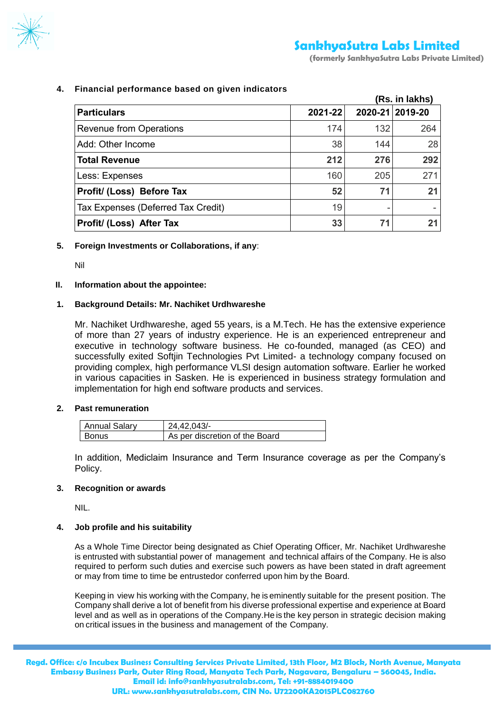

**4. Financial performance based on given indicators**

|                                    |         |     | (Rs. in lakhs)  |
|------------------------------------|---------|-----|-----------------|
| <b>Particulars</b>                 | 2021-22 |     | 2020-21 2019-20 |
| <b>Revenue from Operations</b>     | 174     | 132 | 264             |
| Add: Other Income                  | 38      | 144 | 28              |
| <b>Total Revenue</b>               | 212     | 276 | 292             |
| Less: Expenses                     | 160     | 205 | 271             |
| Profit/ (Loss) Before Tax          | 52      | 71  | 21              |
| Tax Expenses (Deferred Tax Credit) | 19      | ۰   |                 |
| Profit/ (Loss) After Tax           | 33      | 71  | 2 <sub>1</sub>  |

## **5. Foreign Investments or Collaborations, if any**:

Nil

## **II. Information about the appointee:**

## **1. Background Details: Mr. Nachiket Urdhwareshe**

Mr. Nachiket Urdhwareshe, aged 55 years, is a M.Tech. He has the extensive experience of more than 27 years of industry experience. He is an experienced entrepreneur and executive in technology software business. He co-founded, managed (as CEO) and successfully exited Softjin Technologies Pvt Limited- a technology company focused on providing complex, high performance VLSI design automation software. Earlier he worked in various capacities in Sasken. He is experienced in business strategy formulation and implementation for high end software products and services.

## **2. Past remuneration**

| <b>Annual Salary</b> | 24.42.043/-                    |
|----------------------|--------------------------------|
| <b>Bonus</b>         | As per discretion of the Board |

In addition, Mediclaim Insurance and Term Insurance coverage as per the Company's Policy.

## **3. Recognition or awards**

NIL.

## **4. Job profile and his suitability**

As a Whole Time Director being designated as Chief Operating Officer, Mr. Nachiket Urdhwareshe is entrusted with substantial power of management and technical affairs of the Company. He is also required to perform such duties and exercise such powers as have been stated in draft agreement or may from time to time be entrustedor conferred upon him by the Board.

Keeping in view his working with the Company, he is eminently suitable for the present position. The Company shall derive a lot of benefit from his diverse professional expertise and experience at Board level and as well as in operations of the Company.He is the key person in strategic decision making on critical issues in the business and management of the Company.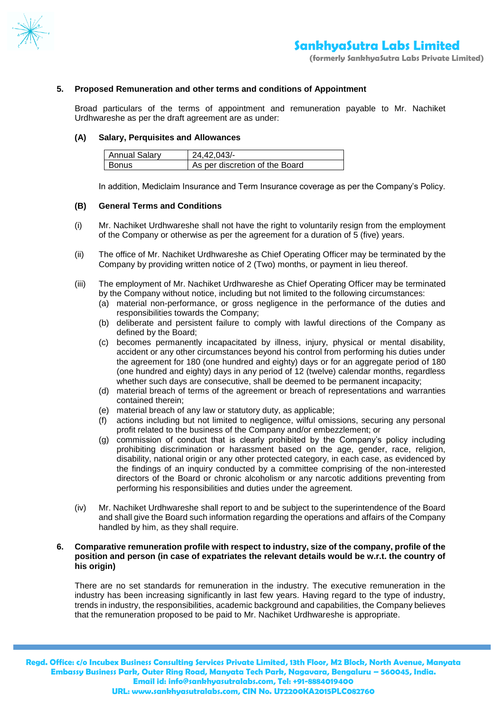

#### **5. Proposed Remuneration and other terms and conditions of Appointment**

Broad particulars of the terms of appointment and remuneration payable to Mr. Nachiket Urdhwareshe as per the draft agreement are as under:

#### **(A) Salary, Perquisites and Allowances**

| <b>Annual Salary</b> | 24.42.043/-                    |
|----------------------|--------------------------------|
| <b>Bonus</b>         | As per discretion of the Board |

In addition, Mediclaim Insurance and Term Insurance coverage as per the Company's Policy.

#### **(B) General Terms and Conditions**

- (i) Mr. Nachiket Urdhwareshe shall not have the right to voluntarily resign from the employment of the Company or otherwise as per the agreement for a duration of 5 (five) years.
- (ii) The office of Mr. Nachiket Urdhwareshe as Chief Operating Officer may be terminated by the Company by providing written notice of 2 (Two) months, or payment in lieu thereof.
- (iii) The employment of Mr. Nachiket Urdhwareshe as Chief Operating Officer may be terminated by the Company without notice, including but not limited to the following circumstances:
	- (a) material non-performance, or gross negligence in the performance of the duties and responsibilities towards the Company;
	- (b) deliberate and persistent failure to comply with lawful directions of the Company as defined by the Board;
	- (c) becomes permanently incapacitated by illness, injury, physical or mental disability, accident or any other circumstances beyond his control from performing his duties under the agreement for 180 (one hundred and eighty) days or for an aggregate period of 180 (one hundred and eighty) days in any period of 12 (twelve) calendar months, regardless whether such days are consecutive, shall be deemed to be permanent incapacity;
	- (d) material breach of terms of the agreement or breach of representations and warranties contained therein;
	- (e) material breach of any law or statutory duty, as applicable;
	- (f) actions including but not limited to negligence, wilful omissions, securing any personal profit related to the business of the Company and/or embezzlement; or
	- (g) commission of conduct that is clearly prohibited by the Company's policy including prohibiting discrimination or harassment based on the age, gender, race, religion, disability, national origin or any other protected category, in each case, as evidenced by the findings of an inquiry conducted by a committee comprising of the non-interested directors of the Board or chronic alcoholism or any narcotic additions preventing from performing his responsibilities and duties under the agreement.
- (iv) Mr. Nachiket Urdhwareshe shall report to and be subject to the superintendence of the Board and shall give the Board such information regarding the operations and affairs of the Company handled by him, as they shall require.

#### **6. Comparative remuneration profile with respect to industry, size of the company, profile of the position and person (in case of expatriates the relevant details would be w.r.t. the country of his origin)**

There are no set standards for remuneration in the industry. The executive remuneration in the industry has been increasing significantly in last few years. Having regard to the type of industry, trends in industry, the responsibilities, academic background and capabilities, the Company believes that the remuneration proposed to be paid to Mr. Nachiket Urdhwareshe is appropriate.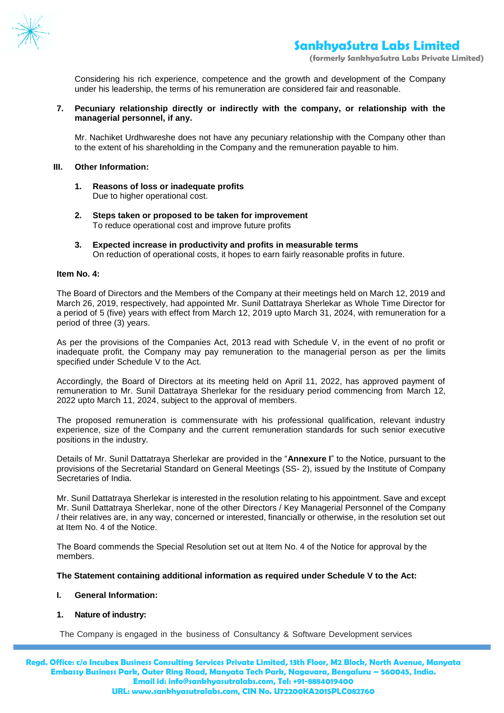

**(formerly SankhyaSutra Labs Private Limited)**

Considering his rich experience, competence and the growth and development of the Company under his leadership, the terms of his remuneration are considered fair and reasonable.

### **7. Pecuniary relationship directly or indirectly with the company, or relationship with the managerial personnel, if any.**

Mr. Nachiket Urdhwareshe does not have any pecuniary relationship with the Company other than to the extent of his shareholding in the Company and the remuneration payable to him.

#### **III. Other Information:**

- **1. Reasons of loss or inadequate profits** Due to higher operational cost.
- **2. Steps taken or proposed to be taken for improvement** To reduce operational cost and improve future profits
- **3. Expected increase in productivity and profits in measurable terms** On reduction of operational costs, it hopes to earn fairly reasonable profits in future.

#### **Item No. 4:**

The Board of Directors and the Members of the Company at their meetings held on March 12, 2019 and March 26, 2019, respectively, had appointed Mr. Sunil Dattatraya Sherlekar as Whole Time Director for a period of 5 (five) years with effect from March 12, 2019 upto March 31, 2024, with remuneration for a period of three (3) years.

As per the provisions of the Companies Act, 2013 read with Schedule V, in the event of no profit or inadequate profit, the Company may pay remuneration to the managerial person as per the limits specified under Schedule V to the Act.

Accordingly, the Board of Directors at its meeting held on April 11, 2022, has approved payment of remuneration to Mr. Sunil Dattatraya Sherlekar for the residuary period commencing from March 12, 2022 upto March 11, 2024, subject to the approval of members.

The proposed remuneration is commensurate with his professional qualification, relevant industry experience, size of the Company and the current remuneration standards for such senior executive positions in the industry.

Details of Mr. Sunil Dattatraya Sherlekar are provided in the "**Annexure I**" to the Notice, pursuant to the provisions of the Secretarial Standard on General Meetings (SS- 2), issued by the Institute of Company Secretaries of India.

Mr. Sunil Dattatraya Sherlekar is interested in the resolution relating to his appointment. Save and except Mr. Sunil Dattatraya Sherlekar, none of the other Directors / Key Managerial Personnel of the Company / their relatives are, in any way, concerned or interested, financially or otherwise, in the resolution set out at Item No. 4 of the Notice.

The Board commends the Special Resolution set out at Item No. 4 of the Notice for approval by the members.

#### **The Statement containing additional information as required under Schedule V to the Act:**

#### **I. General Information:**

#### **1. Nature of industry:**

The Company is engaged in the business of Consultancy & Software Development services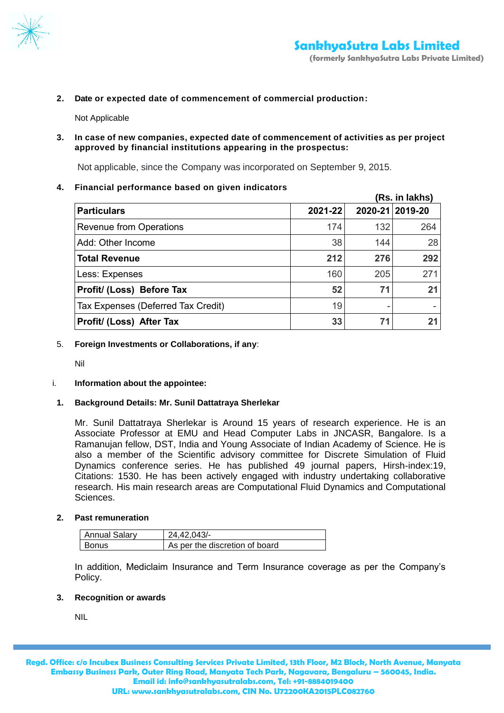

**2. Date or expected date of commencement of commercial production:** 

Not Applicable

**3. In case of new companies, expected date of commencement of activities as per project approved by financial institutions appearing in the prospectus:**

Not applicable, since the Company was incorporated on September 9, 2015.

**4. Financial performance based on given indicators**

|                                    |         |     | (Rs. in lakhs)  |
|------------------------------------|---------|-----|-----------------|
| <b>Particulars</b>                 | 2021-22 |     | 2020-21 2019-20 |
| <b>Revenue from Operations</b>     | 174     | 132 | 264             |
| Add: Other Income                  | 38      | 144 | 28              |
| <b>Total Revenue</b>               | 212     | 276 | 292             |
| Less: Expenses                     | 160     | 205 | 271             |
| Profit/ (Loss) Before Tax          | 52      | 71  | 21              |
| Tax Expenses (Deferred Tax Credit) | 19      |     |                 |
| Profit/ (Loss) After Tax           | 33      | 71  | 2.              |

5. **Foreign Investments or Collaborations, if any**:

Nil

i. **Information about the appointee:**

## **1. Background Details: Mr. Sunil Dattatraya Sherlekar**

Mr. Sunil Dattatraya Sherlekar is Around 15 years of research experience. He is an Associate Professor at EMU and Head Computer Labs in JNCASR, Bangalore. Is a Ramanujan fellow, DST, India and Young Associate of Indian Academy of Science. He is also a member of the Scientific advisory committee for Discrete Simulation of Fluid Dynamics conference series. He has published 49 journal papers, Hirsh-index:19, Citations: 1530. He has been actively engaged with industry undertaking collaborative research. His main research areas are Computational Fluid Dynamics and Computational Sciences.

**2. Past remuneration**

| <b>Annual Salary</b> | 24.42.043/-                    |
|----------------------|--------------------------------|
| Bonus                | As per the discretion of board |

In addition, Mediclaim Insurance and Term Insurance coverage as per the Company's Policy.

## **3. Recognition or awards**

NIL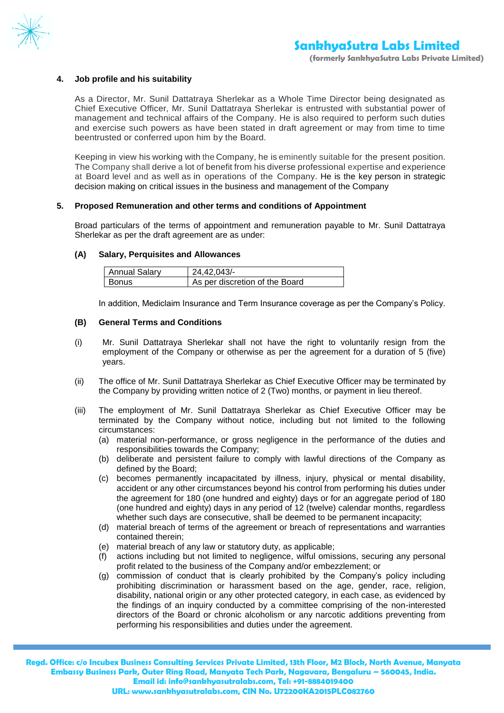

## **4. Job profile and his suitability**

As a Director, Mr. Sunil Dattatraya Sherlekar as a Whole Time Director being designated as Chief Executive Officer, Mr. Sunil Dattatraya Sherlekar is entrusted with substantial power of management and technical affairs of the Company. He is also required to perform such duties and exercise such powers as have been stated in draft agreement or may from time to time beentrusted or conferred upon him by the Board.

Keeping in view his working with the Company, he is eminently suitable for the present position. The Company shall derive a lot of benefit from his diverse professional expertise and experience at Board level and as well as in operations of the Company. He is the key person in strategic decision making on critical issues in the business and management of the Company

#### **5. Proposed Remuneration and other terms and conditions of Appointment**

Broad particulars of the terms of appointment and remuneration payable to Mr. Sunil Dattatraya Sherlekar as per the draft agreement are as under:

#### **(A) Salary, Perquisites and Allowances**

| <b>Annual Salary</b> | 24.42.043/-                    |
|----------------------|--------------------------------|
| <b>Bonus</b>         | As per discretion of the Board |

In addition, Mediclaim Insurance and Term Insurance coverage as per the Company's Policy.

#### **(B) General Terms and Conditions**

- (i) Mr. Sunil Dattatraya Sherlekar shall not have the right to voluntarily resign from the employment of the Company or otherwise as per the agreement for a duration of 5 (five) years.
- (ii) The office of Mr. Sunil Dattatraya Sherlekar as Chief Executive Officer may be terminated by the Company by providing written notice of 2 (Two) months, or payment in lieu thereof.
- (iii) The employment of Mr. Sunil Dattatraya Sherlekar as Chief Executive Officer may be terminated by the Company without notice, including but not limited to the following circumstances:
	- (a) material non-performance, or gross negligence in the performance of the duties and responsibilities towards the Company;
	- (b) deliberate and persistent failure to comply with lawful directions of the Company as defined by the Board;
	- (c) becomes permanently incapacitated by illness, injury, physical or mental disability, accident or any other circumstances beyond his control from performing his duties under the agreement for 180 (one hundred and eighty) days or for an aggregate period of 180 (one hundred and eighty) days in any period of 12 (twelve) calendar months, regardless whether such days are consecutive, shall be deemed to be permanent incapacity;
	- (d) material breach of terms of the agreement or breach of representations and warranties contained therein;
	- (e) material breach of any law or statutory duty, as applicable;
	- (f) actions including but not limited to negligence, wilful omissions, securing any personal profit related to the business of the Company and/or embezzlement; or
	- (g) commission of conduct that is clearly prohibited by the Company's policy including prohibiting discrimination or harassment based on the age, gender, race, religion, disability, national origin or any other protected category, in each case, as evidenced by the findings of an inquiry conducted by a committee comprising of the non-interested directors of the Board or chronic alcoholism or any narcotic additions preventing from performing his responsibilities and duties under the agreement.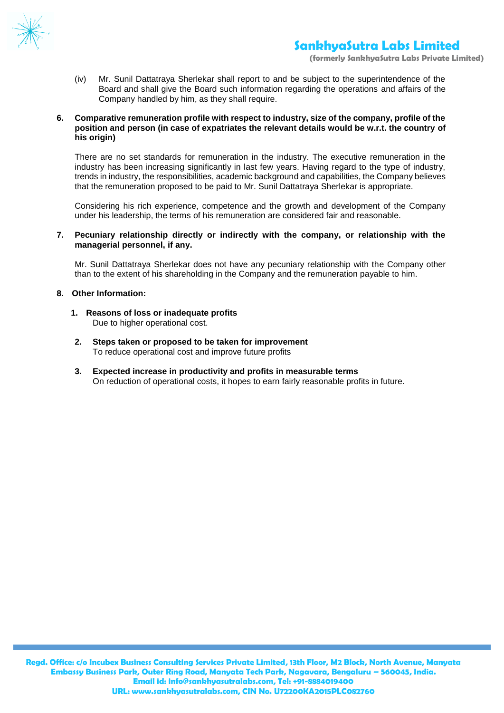

**(formerly SankhyaSutra Labs Private Limited)**

(iv) Mr. Sunil Dattatraya Sherlekar shall report to and be subject to the superintendence of the Board and shall give the Board such information regarding the operations and affairs of the Company handled by him, as they shall require.

#### **6. Comparative remuneration profile with respect to industry, size of the company, profile of the position and person (in case of expatriates the relevant details would be w.r.t. the country of his origin)**

There are no set standards for remuneration in the industry. The executive remuneration in the industry has been increasing significantly in last few years. Having regard to the type of industry, trends in industry, the responsibilities, academic background and capabilities, the Company believes that the remuneration proposed to be paid to Mr. Sunil Dattatraya Sherlekar is appropriate.

Considering his rich experience, competence and the growth and development of the Company under his leadership, the terms of his remuneration are considered fair and reasonable.

#### **7. Pecuniary relationship directly or indirectly with the company, or relationship with the managerial personnel, if any.**

Mr. Sunil Dattatraya Sherlekar does not have any pecuniary relationship with the Company other than to the extent of his shareholding in the Company and the remuneration payable to him.

### **8. Other Information:**

- **1. Reasons of loss or inadequate profits** Due to higher operational cost.
- **2. Steps taken or proposed to be taken for improvement** To reduce operational cost and improve future profits
- **3. Expected increase in productivity and profits in measurable terms** On reduction of operational costs, it hopes to earn fairly reasonable profits in future.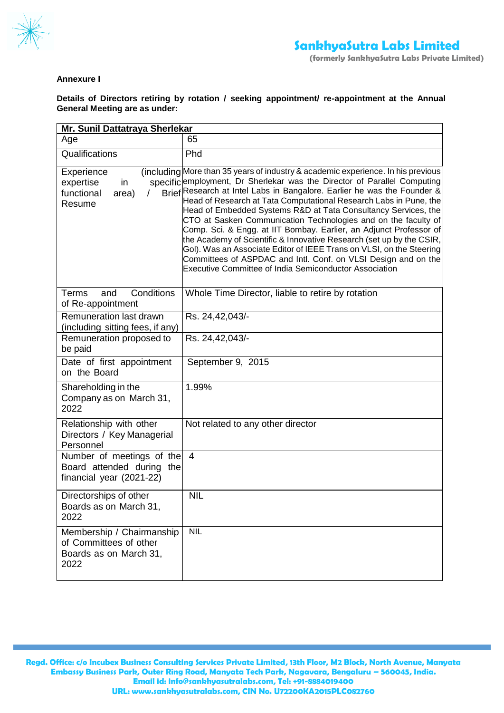

## **Annexure I**

**Details of Directors retiring by rotation / seeking appointment/ re-appointment at the Annual General Meeting are as under:** 

| Mr. Sunil Dattatraya Sherlekar                                                        |                                                                                                                                                                                                                                                                                                                                                                                                                                                                                                                                                                                                                                                                                                                                                                                                    |  |
|---------------------------------------------------------------------------------------|----------------------------------------------------------------------------------------------------------------------------------------------------------------------------------------------------------------------------------------------------------------------------------------------------------------------------------------------------------------------------------------------------------------------------------------------------------------------------------------------------------------------------------------------------------------------------------------------------------------------------------------------------------------------------------------------------------------------------------------------------------------------------------------------------|--|
| Age                                                                                   | 65                                                                                                                                                                                                                                                                                                                                                                                                                                                                                                                                                                                                                                                                                                                                                                                                 |  |
| Qualifications                                                                        | Phd                                                                                                                                                                                                                                                                                                                                                                                                                                                                                                                                                                                                                                                                                                                                                                                                |  |
| Experience<br>expertise<br>in<br>functional<br>area)<br>$\prime$<br>Resume            | (including More than 35 years of industry & academic experience. In his previous<br>specific employment, Dr Sherlekar was the Director of Parallel Computing<br>Brief Research at Intel Labs in Bangalore. Earlier he was the Founder &<br>Head of Research at Tata Computational Research Labs in Pune, the<br>Head of Embedded Systems R&D at Tata Consultancy Services, the<br>CTO at Sasken Communication Technologies and on the faculty of<br>Comp. Sci. & Engg. at IIT Bombay. Earlier, an Adjunct Professor of<br>the Academy of Scientific & Innovative Research (set up by the CSIR,<br>Gol). Was an Associate Editor of IEEE Trans on VLSI, on the Steering<br>Committees of ASPDAC and Intl. Conf. on VLSI Design and on the<br>Executive Committee of India Semiconductor Association |  |
| Conditions<br>Terms<br>and<br>of Re-appointment                                       | Whole Time Director, liable to retire by rotation                                                                                                                                                                                                                                                                                                                                                                                                                                                                                                                                                                                                                                                                                                                                                  |  |
| Remuneration last drawn<br>(including sitting fees, if any)                           | Rs. 24,42,043/-                                                                                                                                                                                                                                                                                                                                                                                                                                                                                                                                                                                                                                                                                                                                                                                    |  |
| Remuneration proposed to<br>be paid                                                   | Rs. 24,42,043/-                                                                                                                                                                                                                                                                                                                                                                                                                                                                                                                                                                                                                                                                                                                                                                                    |  |
| Date of first appointment<br>on the Board                                             | September 9, 2015                                                                                                                                                                                                                                                                                                                                                                                                                                                                                                                                                                                                                                                                                                                                                                                  |  |
| Shareholding in the<br>Company as on March 31,<br>2022                                | 1.99%                                                                                                                                                                                                                                                                                                                                                                                                                                                                                                                                                                                                                                                                                                                                                                                              |  |
| Relationship with other<br>Directors / Key Managerial<br>Personnel                    | Not related to any other director                                                                                                                                                                                                                                                                                                                                                                                                                                                                                                                                                                                                                                                                                                                                                                  |  |
| Number of meetings of the<br>Board attended during the<br>financial year (2021-22)    | $\overline{4}$                                                                                                                                                                                                                                                                                                                                                                                                                                                                                                                                                                                                                                                                                                                                                                                     |  |
| Directorships of other<br>Boards as on March 31,<br>2022                              | <b>NIL</b>                                                                                                                                                                                                                                                                                                                                                                                                                                                                                                                                                                                                                                                                                                                                                                                         |  |
| Membership / Chairmanship<br>of Committees of other<br>Boards as on March 31,<br>2022 | <b>NIL</b>                                                                                                                                                                                                                                                                                                                                                                                                                                                                                                                                                                                                                                                                                                                                                                                         |  |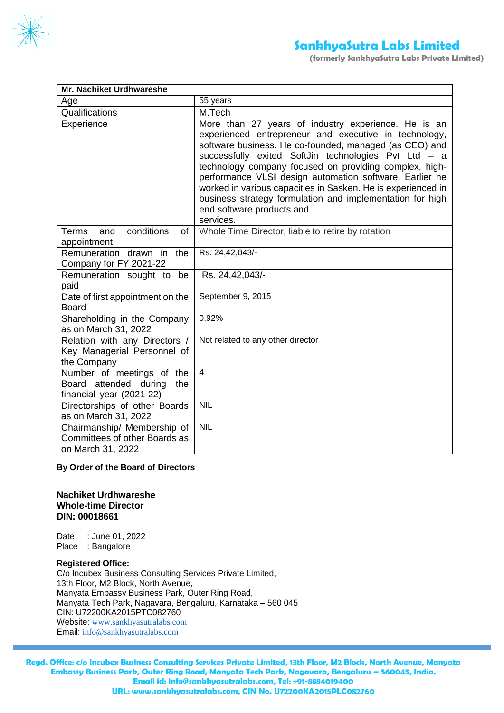

**(formerly SankhyaSutra Labs Private Limited)**

| Mr. Nachiket Urdhwareshe                                                              |                                                                                                                                                                                                                                                                                                                                                                                                                                                                                                                            |
|---------------------------------------------------------------------------------------|----------------------------------------------------------------------------------------------------------------------------------------------------------------------------------------------------------------------------------------------------------------------------------------------------------------------------------------------------------------------------------------------------------------------------------------------------------------------------------------------------------------------------|
| Age                                                                                   | 55 years                                                                                                                                                                                                                                                                                                                                                                                                                                                                                                                   |
| Qualifications                                                                        | M.Tech                                                                                                                                                                                                                                                                                                                                                                                                                                                                                                                     |
| Experience                                                                            | More than 27 years of industry experience. He is an<br>experienced entrepreneur and executive in technology,<br>software business. He co-founded, managed (as CEO) and<br>successfully exited SoftJin technologies Pvt Ltd - a<br>technology company focused on providing complex, high-<br>performance VLSI design automation software. Earlier he<br>worked in various capacities in Sasken. He is experienced in<br>business strategy formulation and implementation for high<br>end software products and<br>services. |
| conditions<br>and<br><b>Terms</b><br>of<br>appointment                                | Whole Time Director, liable to retire by rotation                                                                                                                                                                                                                                                                                                                                                                                                                                                                          |
| Remuneration drawn<br>the<br>in<br>Company for FY 2021-22                             | Rs. 24,42,043/-                                                                                                                                                                                                                                                                                                                                                                                                                                                                                                            |
| Remuneration sought to be<br>paid                                                     | Rs. 24,42,043/-                                                                                                                                                                                                                                                                                                                                                                                                                                                                                                            |
| Date of first appointment on the<br><b>Board</b>                                      | September 9, 2015                                                                                                                                                                                                                                                                                                                                                                                                                                                                                                          |
| Shareholding in the Company<br>as on March 31, 2022                                   | 0.92%                                                                                                                                                                                                                                                                                                                                                                                                                                                                                                                      |
| Relation with any Directors /<br>Key Managerial Personnel of<br>the Company           | Not related to any other director                                                                                                                                                                                                                                                                                                                                                                                                                                                                                          |
| Number of meetings of the<br>Board attended during<br>the<br>financial year (2021-22) | $\overline{4}$                                                                                                                                                                                                                                                                                                                                                                                                                                                                                                             |
| Directorships of other Boards<br>as on March 31, 2022                                 | <b>NIL</b>                                                                                                                                                                                                                                                                                                                                                                                                                                                                                                                 |
| Chairmanship/ Membership of<br>Committees of other Boards as<br>on March 31, 2022     | <b>NIL</b>                                                                                                                                                                                                                                                                                                                                                                                                                                                                                                                 |

## **By Order of the Board of Directors**

## **Nachiket Urdhwareshe Whole-time Director DIN: 00018661**

Date : June 01, 2022 Place : Bangalore

#### **Registered Office:**

C/o Incubex Business Consulting Services Private Limited, 13th Floor, M2 Block, North Avenue, Manyata Embassy Business Park, Outer Ring Road, Manyata Tech Park, Nagavara, Bengaluru, Karnataka – 560 045 CIN: U72200KA2015PTC082760 Website: [www.sankhyasutralabs.com](http://www.sankhyasutralabs.com/) Email: [info@sankhyasutralabs.com](mailto:info@sankhyasutralabs.com)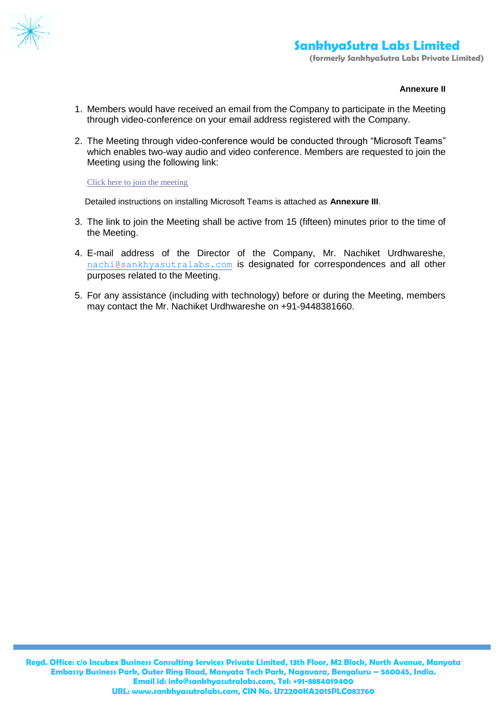

### **Annexure II**

- 1. Members would have received an email from the Company to participate in the Meeting through video-conference on your email address registered with the Company.
- 2. The Meeting through video-conference would be conducted through "Microsoft Teams" which enables two-way audio and video conference. Members are requested to join the Meeting using the following link:

[Click here to join the meeting](https://teams.microsoft.com/l/meetup-join/19%3ameeting_YmYyOTc0MTItNGJkMS00ZTUyLWExOTMtMDFkZDBlYzg2ODky%40thread.v2/0?context=%7b%22Tid%22%3a%22fe1d95a9-4ce1-41a5-8eab-6dd43aa26d9f%22%2c%22Oid%22%3a%22a2a4a4df-9e01-4c23-b3cc-90a5e4e9a18a%22%7d)

Detailed instructions on installing Microsoft Teams is attached as **Annexure III**.

- 3. The link to join the Meeting shall be active from 15 (fifteen) minutes prior to the time of the Meeting.
- 4. E-mail address of the Director of the Company, Mr. Nachiket Urdhwareshe, [nachi@sankhyasutralabs.com](mailto:nachi@sankhyasutralabs.com) is designated for correspondences and all other purposes related to the Meeting.
- 5. For any assistance (including with technology) before or during the Meeting, members may contact the Mr. Nachiket Urdhwareshe on +91-9448381660.